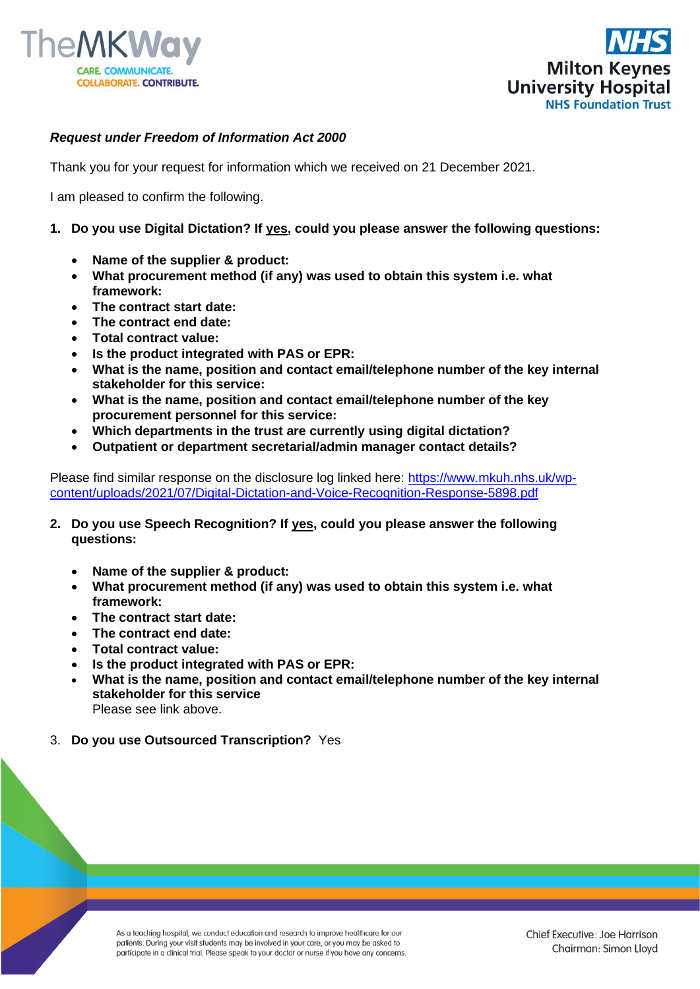



## *Request under Freedom of Information Act 2000*

Thank you for your request for information which we received on 21 December 2021.

I am pleased to confirm the following.

## **1. Do you use Digital Dictation? If yes, could you please answer the following questions:**

- **Name of the supplier & product:**
- **What procurement method (if any) was used to obtain this system i.e. what framework:**
- **The contract start date:**
- **The contract end date:**
- **Total contract value:**
- **Is the product integrated with PAS or EPR:**
- **What is the name, position and contact email/telephone number of the key internal stakeholder for this service:**
- **What is the name, position and contact email/telephone number of the key procurement personnel for this service:**
- **Which departments in the trust are currently using digital dictation?**
- **Outpatient or department secretarial/admin manager contact details?**

Please find similar response on the disclosure log linked here: [https://www.mkuh.nhs.uk/wp](https://www.mkuh.nhs.uk/wp-content/uploads/2021/07/Digital-Dictation-and-Voice-Recognition-Response-5898.pdf)[content/uploads/2021/07/Digital-Dictation-and-Voice-Recognition-Response-5898.pdf](https://www.mkuh.nhs.uk/wp-content/uploads/2021/07/Digital-Dictation-and-Voice-Recognition-Response-5898.pdf)

- **2. Do you use Speech Recognition? If yes, could you please answer the following questions:**
	- **Name of the supplier & product:**
	- **What procurement method (if any) was used to obtain this system i.e. what framework:**
	- **The contract start date:**
	- **The contract end date:**
	- **Total contract value:**
	- **Is the product integrated with PAS or EPR:**
	- **What is the name, position and contact email/telephone number of the key internal stakeholder for this service** Please see link above.
- 3. **Do you use Outsourced Transcription?** Yes

As a teaching hospital, we conduct education and research to improve healthcare for our patients. During your visit students may be involved in your care, or you may be asked to participate in a clinical trial. Please speak to your doctor or nurse if you have any concerns.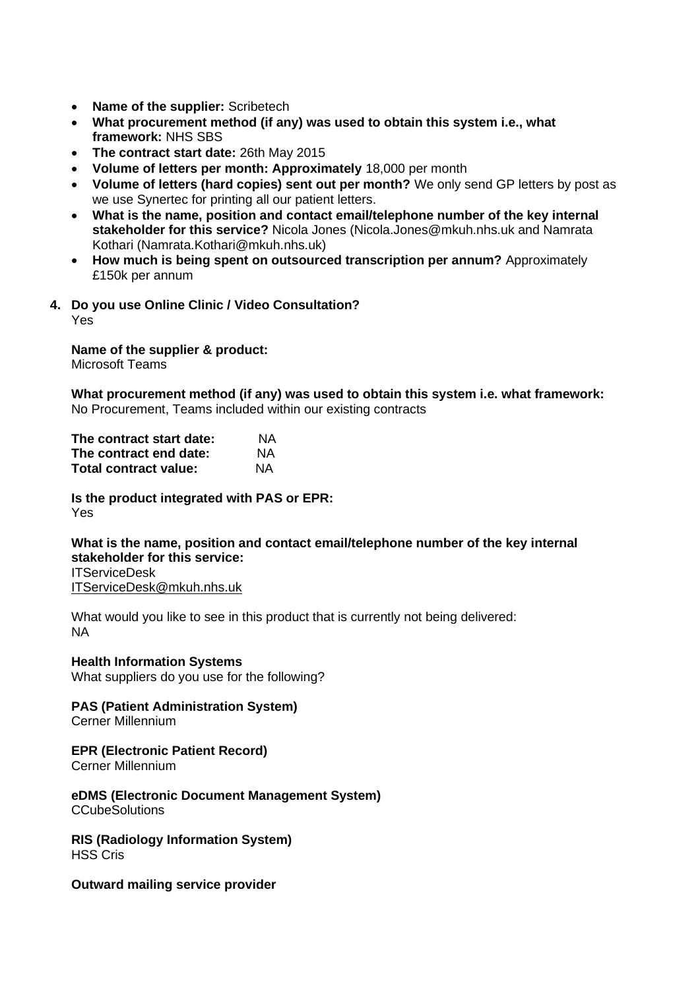- **Name of the supplier:** Scribetech
- **What procurement method (if any) was used to obtain this system i.e., what framework:** NHS SBS
- **The contract start date:** 26th May 2015
- **Volume of letters per month: Approximately** 18,000 per month
- **Volume of letters (hard copies) sent out per month?** We only send GP letters by post as we use Synertec for printing all our patient letters.
- **What is the name, position and contact email/telephone number of the key internal stakeholder for this service?** Nicola Jones (Nicola.Jones@mkuh.nhs.uk and Namrata Kothari (Namrata.Kothari@mkuh.nhs.uk)
- **How much is being spent on outsourced transcription per annum?** Approximately £150k per annum
- **4. Do you use Online Clinic / Video Consultation?** Yes

**Name of the supplier & product:** Microsoft Teams

**What procurement method (if any) was used to obtain this system i.e. what framework:** No Procurement, Teams included within our existing contracts

| The contract start date: | ΝA        |
|--------------------------|-----------|
| The contract end date:   | NA.       |
| Total contract value:    | <b>NA</b> |

**Is the product integrated with PAS or EPR:** Yes

**What is the name, position and contact email/telephone number of the key internal stakeholder for this service:** ITServiceDesk [ITServiceDesk@mkuh.nhs.uk](mailto:ITServiceDesk@mkuh.nhs.uk)

What would you like to see in this product that is currently not being delivered: NA

**Health Information Systems**  What suppliers do you use for the following?

**PAS (Patient Administration System)** 

Cerner Millennium

## **EPR (Electronic Patient Record)**

Cerner Millennium

**eDMS (Electronic Document Management System) CCubeSolutions** 

**RIS (Radiology Information System)** HSS Cris

**Outward mailing service provider**